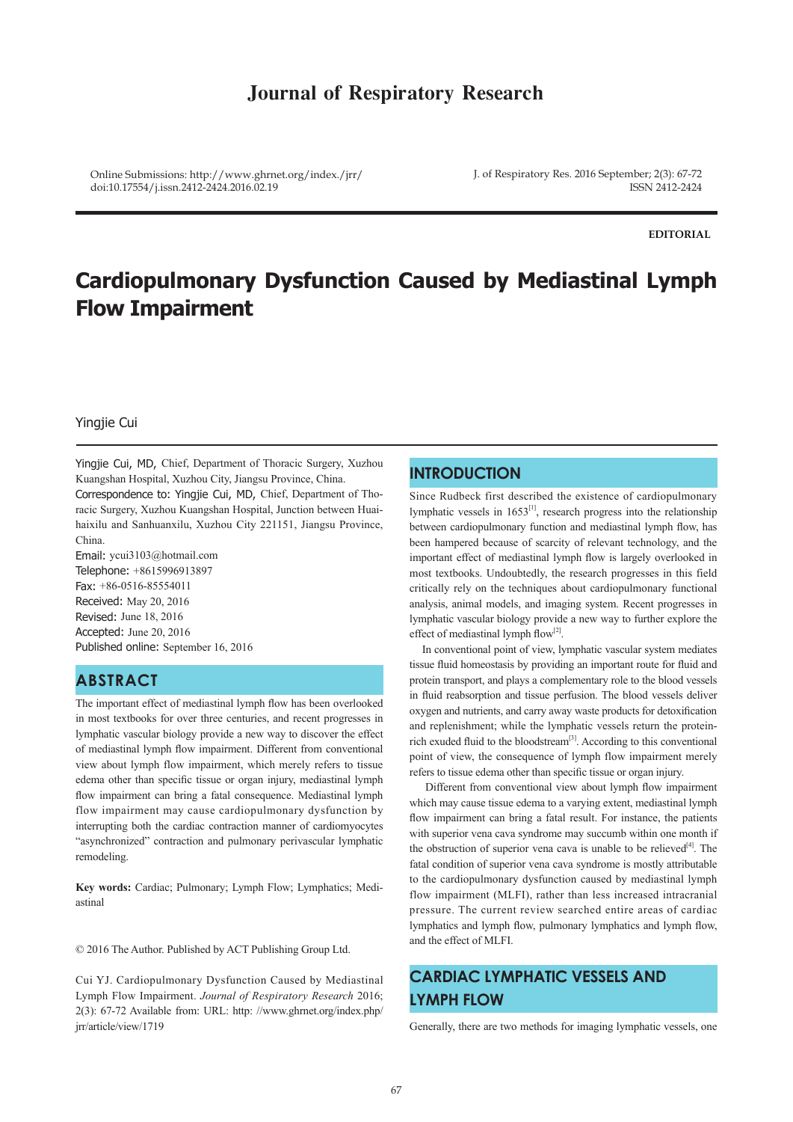# **Journal of Respiratory Research**

Online Submissions: http://www.ghrnet.org/index./jrr/ doi:10.17554/j.issn.2412-2424.2016.02.19

J. of Respiratory Res. 2016 September; 2(3): 67-72 ISSN 2412-2424

**EDITORIAL**

# **Cardiopulmonary Dysfunction Caused by Mediastinal Lymph Flow Impairment**

#### Yingjie Cui

Yingjie Cui, MD, Chief, Department of Thoracic Surgery, Xuzhou Kuangshan Hospital, Xuzhou City, Jiangsu Province, China. Correspondence to: Yingjie Cui, MD, Chief, Department of Tho-

racic Surgery, Xuzhou Kuangshan Hospital, Junction between Huaihaixilu and Sanhuanxilu, Xuzhou City 221151, Jiangsu Province, China.

Email: ycui3103@hotmail.com Telephone: +8615996913897 Fax: +86-0516-85554011 Received: May 20, 2016 Revised: June 18, 2016 Accepted: June 20, 2016 Published online: September 16, 2016

### **ABSTRACT**

The important effect of mediastinal lymph flow has been overlooked in most textbooks for over three centuries, and recent progresses in lymphatic vascular biology provide a new way to discover the effect of mediastinal lymph flow impairment. Different from conventional view about lymph flow impairment, which merely refers to tissue edema other than specific tissue or organ injury, mediastinal lymph flow impairment can bring a fatal consequence. Mediastinal lymph flow impairment may cause cardiopulmonary dysfunction by interrupting both the cardiac contraction manner of cardiomyocytes "asynchronized" contraction and pulmonary perivascular lymphatic remodeling.

**Key words:** Cardiac; Pulmonary; Lymph Flow; Lymphatics; Mediastinal

© 2016 The Author. Published by ACT Publishing Group Ltd.

Cui YJ. Cardiopulmonary Dysfunction Caused by Mediastinal Lymph Flow Impairment. *Journal of Respiratory Research* 2016; 2(3): 67-72 Available from: URL: http: //www.ghrnet.org/index.php/ jrr/article/view/1719

### **INTRODUCTION**

Since Rudbeck first described the existence of cardiopulmonary lymphatic vessels in  $1653^{[1]}$ , research progress into the relationship between cardiopulmonary function and mediastinal lymph flow, has been hampered because of scarcity of relevant technology, and the important effect of mediastinal lymph flow is largely overlooked in most textbooks. Undoubtedly, the research progresses in this field critically rely on the techniques about cardiopulmonary functional analysis, animal models, and imaging system. Recent progresses in lymphatic vascular biology provide a new way to further explore the effect of mediastinal lymph flow $^{[2]}$ .

 In conventional point of view, lymphatic vascular system mediates tissue fluid homeostasis by providing an important route for fluid and protein transport, and plays a complementary role to the blood vessels in fluid reabsorption and tissue perfusion. The blood vessels deliver oxygen and nutrients, and carry away waste products for detoxification and replenishment; while the lymphatic vessels return the proteinrich exuded fluid to the bloodstream[3]. According to this conventional point of view, the consequence of lymph flow impairment merely refers to tissue edema other than specific tissue or organ injury.

 Different from conventional view about lymph flow impairment which may cause tissue edema to a varying extent, mediastinal lymph flow impairment can bring a fatal result. For instance, the patients with superior vena cava syndrome may succumb within one month if the obstruction of superior vena cava is unable to be relieved $[4]$ . The fatal condition of superior vena cava syndrome is mostly attributable to the cardiopulmonary dysfunction caused by mediastinal lymph flow impairment (MLFI), rather than less increased intracranial pressure. The current review searched entire areas of cardiac lymphatics and lymph flow, pulmonary lymphatics and lymph flow, and the effect of MLFI.

# **CARDIAC LYMPHATIC VESSELS AND LYMPH FLOW**

Generally, there are two methods for imaging lymphatic vessels, one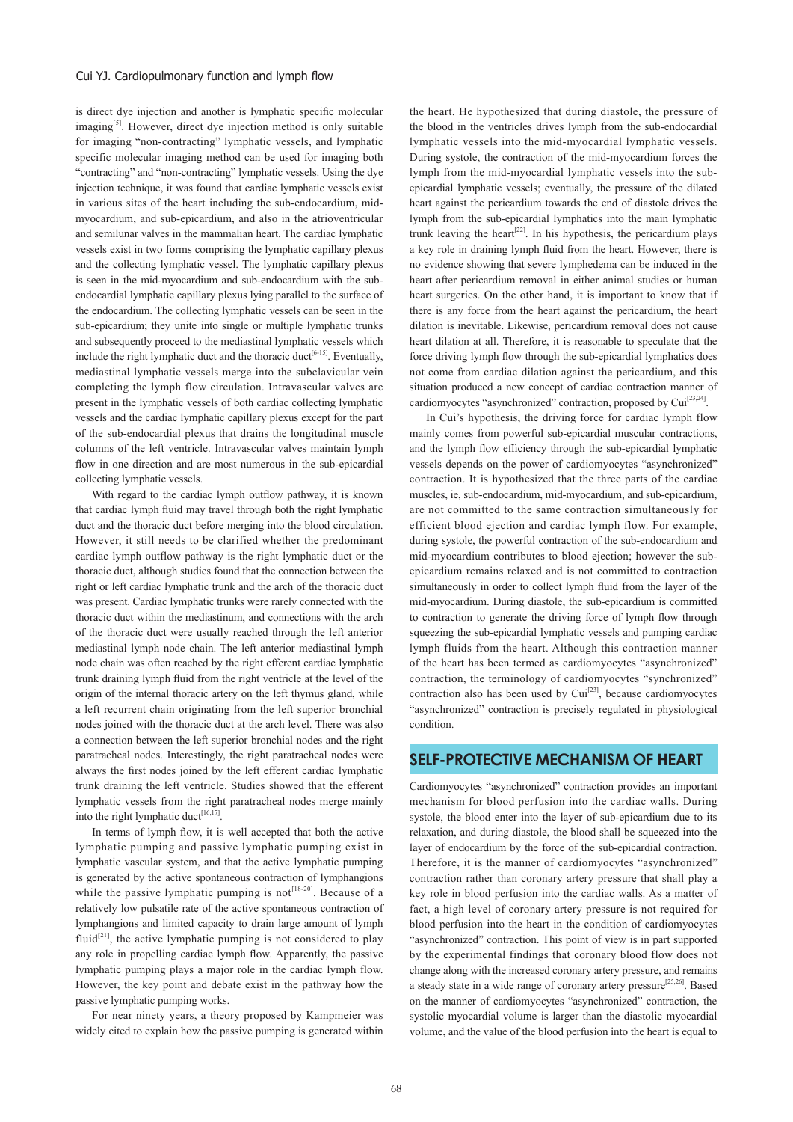#### Cui YJ. Cardiopulmonary function and lymph flow

is direct dye injection and another is lymphatic specific molecular imaging<sup>[5]</sup>. However, direct dye injection method is only suitable for imaging "non-contracting" lymphatic vessels, and lymphatic specific molecular imaging method can be used for imaging both "contracting" and "non-contracting" lymphatic vessels. Using the dye injection technique, it was found that cardiac lymphatic vessels exist in various sites of the heart including the sub-endocardium, midmyocardium, and sub-epicardium, and also in the atrioventricular and semilunar valves in the mammalian heart. The cardiac lymphatic vessels exist in two forms comprising the lymphatic capillary plexus and the collecting lymphatic vessel. The lymphatic capillary plexus is seen in the mid-myocardium and sub-endocardium with the subendocardial lymphatic capillary plexus lying parallel to the surface of the endocardium. The collecting lymphatic vessels can be seen in the sub-epicardium; they unite into single or multiple lymphatic trunks and subsequently proceed to the mediastinal lymphatic vessels which include the right lymphatic duct and the thoracic duct<sup>[6-15]</sup>. Eventually, mediastinal lymphatic vessels merge into the subclavicular vein completing the lymph flow circulation. Intravascular valves are present in the lymphatic vessels of both cardiac collecting lymphatic vessels and the cardiac lymphatic capillary plexus except for the part of the sub-endocardial plexus that drains the longitudinal muscle columns of the left ventricle. Intravascular valves maintain lymph flow in one direction and are most numerous in the sub-epicardial collecting lymphatic vessels.

 With regard to the cardiac lymph outflow pathway, it is known that cardiac lymph fluid may travel through both the right lymphatic duct and the thoracic duct before merging into the blood circulation. However, it still needs to be clarified whether the predominant cardiac lymph outflow pathway is the right lymphatic duct or the thoracic duct, although studies found that the connection between the right or left cardiac lymphatic trunk and the arch of the thoracic duct was present. Cardiac lymphatic trunks were rarely connected with the thoracic duct within the mediastinum, and connections with the arch of the thoracic duct were usually reached through the left anterior mediastinal lymph node chain. The left anterior mediastinal lymph node chain was often reached by the right efferent cardiac lymphatic trunk draining lymph fluid from the right ventricle at the level of the origin of the internal thoracic artery on the left thymus gland, while a left recurrent chain originating from the left superior bronchial nodes joined with the thoracic duct at the arch level. There was also a connection between the left superior bronchial nodes and the right paratracheal nodes. Interestingly, the right paratracheal nodes were always the first nodes joined by the left efferent cardiac lymphatic trunk draining the left ventricle. Studies showed that the efferent lymphatic vessels from the right paratracheal nodes merge mainly into the right lymphatic duct<sup>[16,17]</sup>.

 In terms of lymph flow, it is well accepted that both the active lymphatic pumping and passive lymphatic pumping exist in lymphatic vascular system, and that the active lymphatic pumping is generated by the active spontaneous contraction of lymphangions while the passive lymphatic pumping is not<sup>[18-20]</sup>. Because of a relatively low pulsatile rate of the active spontaneous contraction of lymphangions and limited capacity to drain large amount of lymph fluid<sup>[21]</sup>, the active lymphatic pumping is not considered to play any role in propelling cardiac lymph flow. Apparently, the passive lymphatic pumping plays a major role in the cardiac lymph flow. However, the key point and debate exist in the pathway how the passive lymphatic pumping works.

 For near ninety years, a theory proposed by Kampmeier was widely cited to explain how the passive pumping is generated within the heart. He hypothesized that during diastole, the pressure of the blood in the ventricles drives lymph from the sub-endocardial lymphatic vessels into the mid-myocardial lymphatic vessels. During systole, the contraction of the mid-myocardium forces the lymph from the mid-myocardial lymphatic vessels into the subepicardial lymphatic vessels; eventually, the pressure of the dilated heart against the pericardium towards the end of diastole drives the lymph from the sub-epicardial lymphatics into the main lymphatic trunk leaving the heart<sup>[22]</sup>. In his hypothesis, the pericardium plays a key role in draining lymph fluid from the heart. However, there is no evidence showing that severe lymphedema can be induced in the heart after pericardium removal in either animal studies or human heart surgeries. On the other hand, it is important to know that if there is any force from the heart against the pericardium, the heart dilation is inevitable. Likewise, pericardium removal does not cause heart dilation at all. Therefore, it is reasonable to speculate that the force driving lymph flow through the sub-epicardial lymphatics does not come from cardiac dilation against the pericardium, and this situation produced a new concept of cardiac contraction manner of cardiomyocytes "asynchronized" contraction, proposed by Cui<sup>[23,24]</sup>.

 In Cui's hypothesis, the driving force for cardiac lymph flow mainly comes from powerful sub-epicardial muscular contractions, and the lymph flow efficiency through the sub-epicardial lymphatic vessels depends on the power of cardiomyocytes "asynchronized" contraction. It is hypothesized that the three parts of the cardiac muscles, ie, sub-endocardium, mid-myocardium, and sub-epicardium, are not committed to the same contraction simultaneously for efficient blood ejection and cardiac lymph flow. For example, during systole, the powerful contraction of the sub-endocardium and mid-myocardium contributes to blood ejection; however the subepicardium remains relaxed and is not committed to contraction simultaneously in order to collect lymph fluid from the layer of the mid-myocardium. During diastole, the sub-epicardium is committed to contraction to generate the driving force of lymph flow through squeezing the sub-epicardial lymphatic vessels and pumping cardiac lymph fluids from the heart. Although this contraction manner of the heart has been termed as cardiomyocytes "asynchronized" contraction, the terminology of cardiomyocytes "synchronized" contraction also has been used by Cui<sup>[23]</sup>, because cardiomyocytes "asynchronized" contraction is precisely regulated in physiological condition.

### **SELF-PROTECTIVE MECHANISM OF HEART**

Cardiomyocytes "asynchronized" contraction provides an important mechanism for blood perfusion into the cardiac walls. During systole, the blood enter into the layer of sub-epicardium due to its relaxation, and during diastole, the blood shall be squeezed into the layer of endocardium by the force of the sub-epicardial contraction. Therefore, it is the manner of cardiomyocytes "asynchronized" contraction rather than coronary artery pressure that shall play a key role in blood perfusion into the cardiac walls. As a matter of fact, a high level of coronary artery pressure is not required for blood perfusion into the heart in the condition of cardiomyocytes "asynchronized" contraction. This point of view is in part supported by the experimental findings that coronary blood flow does not change along with the increased coronary artery pressure, and remains a steady state in a wide range of coronary artery pressure<sup>[25,26]</sup>. Based on the manner of cardiomyocytes "asynchronized" contraction, the systolic myocardial volume is larger than the diastolic myocardial volume, and the value of the blood perfusion into the heart is equal to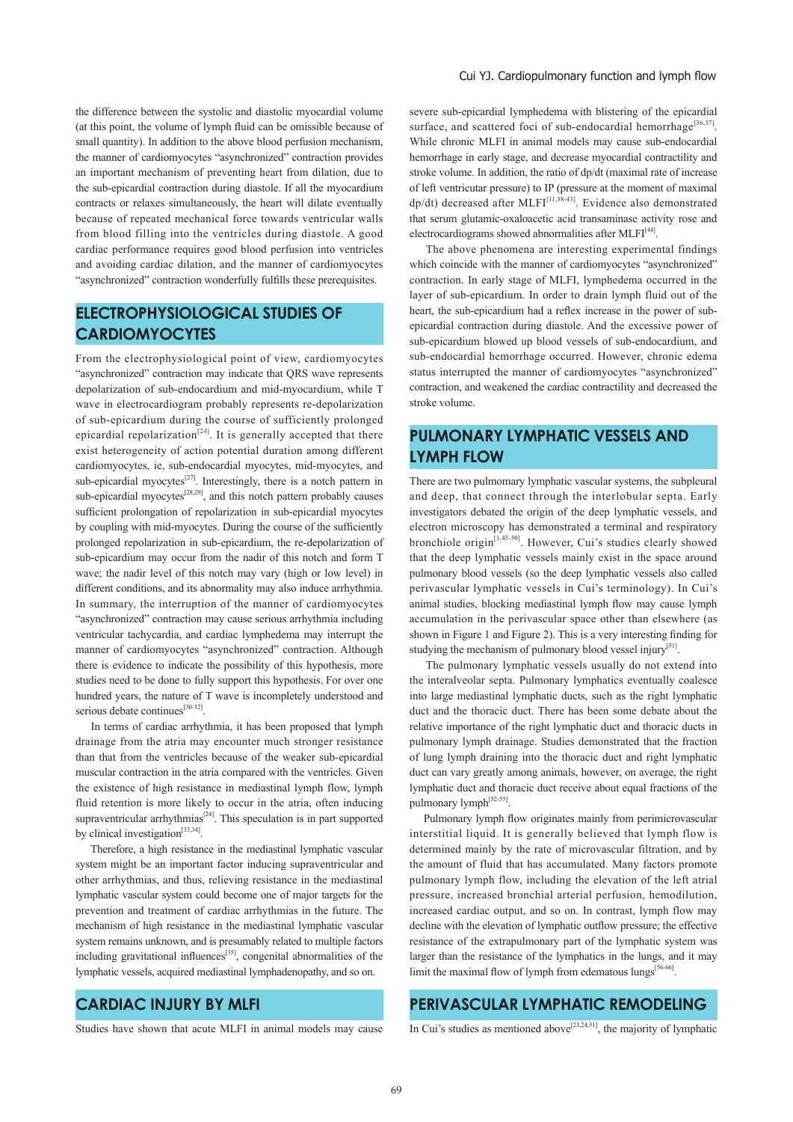the difference between the systolic and diastolic myocardial volume (at this point, the volume of lymph fluid can be omissible because of small quantity). In addition to the above blood perfusion mechanism, the manner of cardiomyocytes "asynchronized" contraction provides an important mechanism of preventing heart from dilation, due to the sub-epicardial contraction during diastole. If all the myocardium contracts or relaxes simultaneously, the heart will dilate eventually because of repeated mechanical force towards ventricular walls from blood filling into the ventricles during diastole. A good cardiac performance requires good blood perfusion into ventricles and avoiding cardiac dilation, and the manner of cardiomyocytes "asynchronized" contraction wonderfully fulfills these prerequisites.

### **ELECTROPHYSIOLOGICAL STUDIES OF CARDIOMYOCYTES**

From the electrophysiological point of view, cardiomyocytes "asynchronized" contraction may indicate that QRS wave represents depolarization of sub-endocardium and mid-myocardium, while T wave in electrocardiogram probably represents re-depolarization of sub-epicardium during the course of sufficiently prolonged epicardial repolarization<sup>[24]</sup>. It is generally accepted that there exist heterogeneity of action potential duration among different cardiomyocytes, ie, sub-endocardial myocytes, mid-myocytes, and sub-epicardial myocytes<sup>[27]</sup>. Interestingly, there is a notch pattern in sub-epicardial myocytes<sup> $[28,29]$ </sup>, and this notch pattern probably causes sufficient prolongation of repolarization in sub-epicardial myocytes by coupling with mid-myocytes. During the course of the sufficiently prolonged repolarization in sub-epicardium, the re-depolarization of sub-epicardium may occur from the nadir of this notch and form T wave; the nadir level of this notch may vary (high or low level) in different conditions, and its abnormality may also induce arrhythmia. In summary, the interruption of the manner of cardiomyocytes "asynchronized" contraction may cause serious arrhythmia including ventricular tachycardia, and cardiac lymphedema may interrupt the manner of cardiomyocytes "asynchronized" contraction. Although there is evidence to indicate the possibility of this hypothesis, more studies need to be done to fully support this hypothesis. For over one hundred years, the nature of T wave is incompletely understood and serious debate continues<sup>[30-32]</sup>.

 In terms of cardiac arrhythmia, it has been proposed that lymph drainage from the atria may encounter much stronger resistance than that from the ventricles because of the weaker sub-epicardial muscular contraction in the atria compared with the ventricles. Given the existence of high resistance in mediastinal lymph flow, lymph fluid retention is more likely to occur in the atria, often inducing supraventricular arrhythmias<sup>[24]</sup>. This speculation is in part supported by clinical investigation<sup>[33,34]</sup>.

 Therefore, a high resistance in the mediastinal lymphatic vascular system might be an important factor inducing supraventricular and other arrhythmias, and thus, relieving resistance in the mediastinal lymphatic vascular system could become one of major targets for the prevention and treatment of cardiac arrhythmias in the future. The mechanism of high resistance in the mediastinal lymphatic vascular system remains unknown, and is presumably related to multiple factors including gravitational influences $^{[35]}$ , congenital abnormalities of the lymphatic vessels, acquired mediastinal lymphadenopathy, and so on.

### **CARDIAC INJURY BY MLFI**

Studies have shown that acute MLFI in animal models may cause

severe sub-epicardial lymphedema with blistering of the epicardial surface, and scattered foci of sub-endocardial hemorrhage<sup>[36,37]</sup>. While chronic MLFI in animal models may cause sub-endocardial hemorrhage in early stage, and decrease myocardial contractility and stroke volume. In addition, the ratio of dp/dt (maximal rate of increase of left ventricutar pressure) to IP (pressure at the moment of maximal dp/dt) decreased after MLFI[11,38-43]. Evidence also demonstrated that serum glutamic-oxaloacetic acid transaminase activity rose and electrocardiograms showed abnormalities after MLFI<sup>[44]</sup>.

 The above phenomena are interesting experimental findings which coincide with the manner of cardiomyocytes "asynchronized" contraction. In early stage of MLFI, lymphedema occurred in the layer of sub-epicardium. In order to drain lymph fluid out of the heart, the sub-epicardium had a reflex increase in the power of subepicardial contraction during diastole. And the excessive power of sub-epicardium blowed up blood vessels of sub-endocardium, and sub-endocardial hemorrhage occurred. However, chronic edema status interrupted the manner of cardiomyocytes "asynchronized" contraction, and weakened the cardiac contractility and decreased the stroke volume.

# **PULMONARY LYMPHATIC VESSELS AND LYMPH FLOW**

There are two pulmomary lymphatic vascular systems, the subpleural and deep, that connect through the interlobular septa. Early investigators debated the origin of the deep lymphatic vessels, and electron microscopy has demonstrated a terminal and respiratory bronchiole origin[1,45-50]. However, Cui's studies clearly showed that the deep lymphatic vessels mainly exist in the space around pulmonary blood vessels (so the deep lymphatic vessels also called perivascular lymphatic vessels in Cui's terminology). In Cui's animal studies, blocking mediastinal lymph flow may cause lymph accumulation in the perivascular space other than elsewhere (as shown in Figure 1 and Figure 2). This is a very interesting finding for studying the mechanism of pulmonary blood vessel injury<sup>[51]</sup>.

 The pulmonary lymphatic vessels usually do not extend into the interalveolar septa. Pulmonary lymphatics eventually coalesce into large mediastinal lymphatic ducts, such as the right lymphatic duct and the thoracic duct. There has been some debate about the relative importance of the right lymphatic duct and thoracic ducts in pulmonary lymph drainage. Studies demonstrated that the fraction of lung lymph draining into the thoracic duct and right lymphatic duct can vary greatly among animals, however, on average, the right lymphatic duct and thoracic duct receive about equal fractions of the pulmonary lymph<sup>[52-55]</sup>

 Pulmonary lymph flow originates mainly from perimicrovascular interstitial liquid. It is generally believed that lymph flow is determined mainly by the rate of microvascular filtration, and by the amount of fluid that has accumulated. Many factors promote pulmonary lymph flow, including the elevation of the left atrial pressure, increased bronchial arterial perfusion, hemodilution, increased cardiac output, and so on. In contrast, lymph flow may decline with the elevation of lymphatic outflow pressure; the effective resistance of the extrapulmonary part of the lymphatic system was larger than the resistance of the lymphatics in the lungs, and it may limit the maximal flow of lymph from edematous lungs<sup>[56-66]</sup>.

### **PERIVASCULAR LYMPHATIC REMODELING**

In Cui's studies as mentioned above<sup>[23,24,51]</sup>, the majority of lymphatic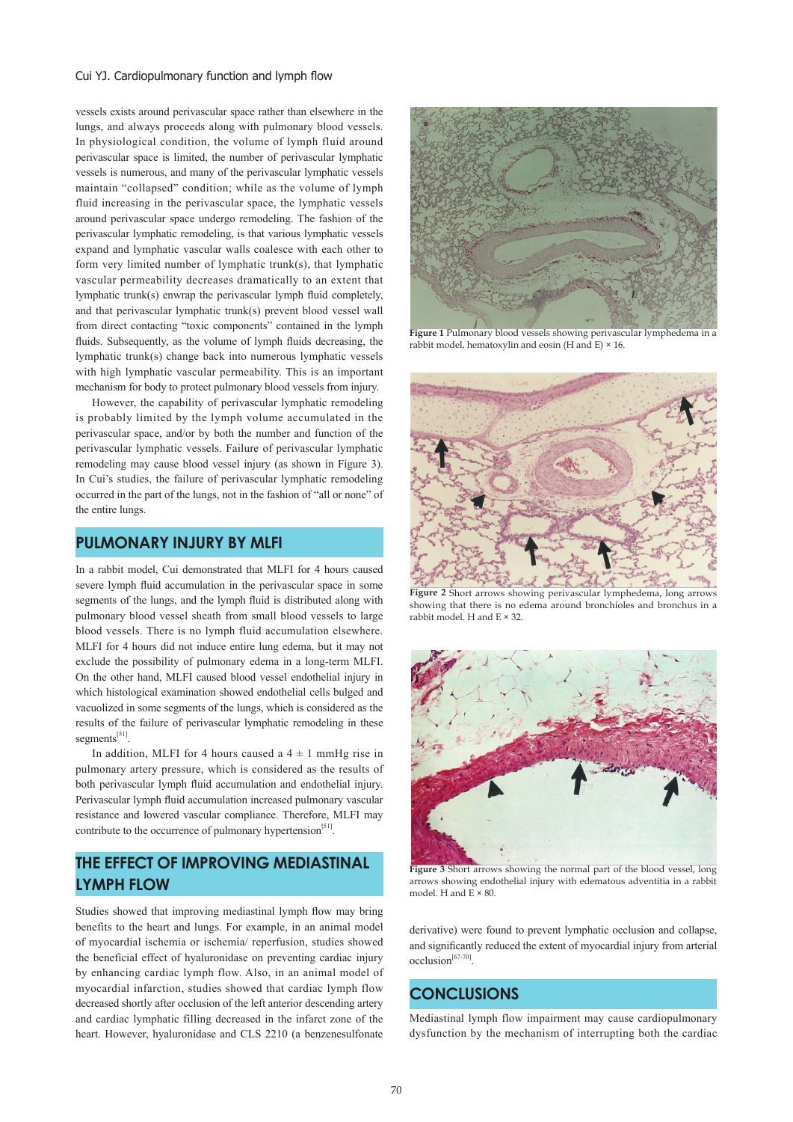#### Cui YJ. Cardiopulmonary function and lymph flow

vessels exists around perivascular space rather than elsewhere in the lungs, and always proceeds along with pulmonary blood vessels. In physiological condition, the volume of lymph fluid around perivascular space is limited, the number of perivascular lymphatic vessels is numerous, and many of the perivascular lymphatic vessels maintain "collapsed" condition; while as the volume of lymph fluid increasing in the perivascular space, the lymphatic vessels around perivascular space undergo remodeling. The fashion of the perivascular lymphatic remodeling, is that various lymphatic vessels expand and lymphatic vascular walls coalesce with each other to form very limited number of lymphatic trunk(s), that lymphatic vascular permeability decreases dramatically to an extent that lymphatic trunk(s) enwrap the perivascular lymph fluid completely, and that perivascular lymphatic trunk(s) prevent blood vessel wall from direct contacting "toxic components" contained in the lymph fluids. Subsequently, as the volume of lymph fluids decreasing, the lymphatic trunk(s) change back into numerous lymphatic vessels with high lymphatic vascular permeability. This is an important mechanism for body to protect pulmonary blood vessels from injury.

 However, the capability of perivascular lymphatic remodeling is probably limited by the lymph volume accumulated in the perivascular space, and/or by both the number and function of the perivascular lymphatic vessels. Failure of perivascular lymphatic remodeling may cause blood vessel injury (as shown in Figure 3). In Cui's studies, the failure of perivascular lymphatic remodeling occurred in the part of the lungs, not in the fashion of "all or none" of the entire lungs.

#### **PULMONARY INJURY BY MLFI**

In a rabbit model, Cui demonstrated that MLFI for 4 hours caused severe lymph fluid accumulation in the perivascular space in some segments of the lungs, and the lymph fluid is distributed along with pulmonary blood vessel sheath from small blood vessels to large blood vessels. There is no lymph fluid accumulation elsewhere. MLFI for 4 hours did not induce entire lung edema, but it may not exclude the possibility of pulmonary edema in a long-term MLFI. On the other hand, MLFI caused blood vessel endothelial injury in which histological examination showed endothelial cells bulged and vacuolized in some segments of the lungs, which is considered as the results of the failure of perivascular lymphatic remodeling in these segments<sup>[51]</sup>.

In addition, MLFI for 4 hours caused a  $4 \pm 1$  mmHg rise in pulmonary artery pressure, which is considered as the results of both perivascular lymph fluid accumulation and endothelial injury. Perivascular lymph fluid accumulation increased pulmonary vascular resistance and lowered vascular compliance. Therefore, MLFI may contribute to the occurrence of pulmonary hypertension $[51]$ .

# **THE EFFECT OF IMPROVING MEDIASTINAL LYMPH FLOW**

Studies showed that improving mediastinal lymph flow may bring benefits to the heart and lungs. For example, in an animal model of myocardial ischemia or ischemia/ reperfusion, studies showed the beneficial effect of hyaluronidase on preventing cardiac injury by enhancing cardiac lymph flow. Also, in an animal model of myocardial infarction, studies showed that cardiac lymph flow decreased shortly after occlusion of the left anterior descending artery and cardiac lymphatic filling decreased in the infarct zone of the heart. However, hyaluronidase and CLS 2210 (a benzenesulfonate



**Figure 1** Pulmonary blood vessels showing perivascular lymphedema in a rabbit model, hematoxylin and eosin (H and E)  $\times$  16.



**Figure 2** Short arrows showing perivascular lymphedema, long arrows showing that there is no edema around bronchioles and bronchus in a rabbit model. H and  $E \times 32$ .



Figure 3 Short arrows showing the normal part of the blood vessel, long arrows showing endothelial injury with edematous adventitia in a rabbit model. H and E × 80.

derivative) were found to prevent lymphatic occlusion and collapse, and significantly reduced the extent of myocardial injury from arterial occlusion[67-70].

### **CONCLUSIONS**

Mediastinal lymph flow impairment may cause cardiopulmonary dysfunction by the mechanism of interrupting both the cardiac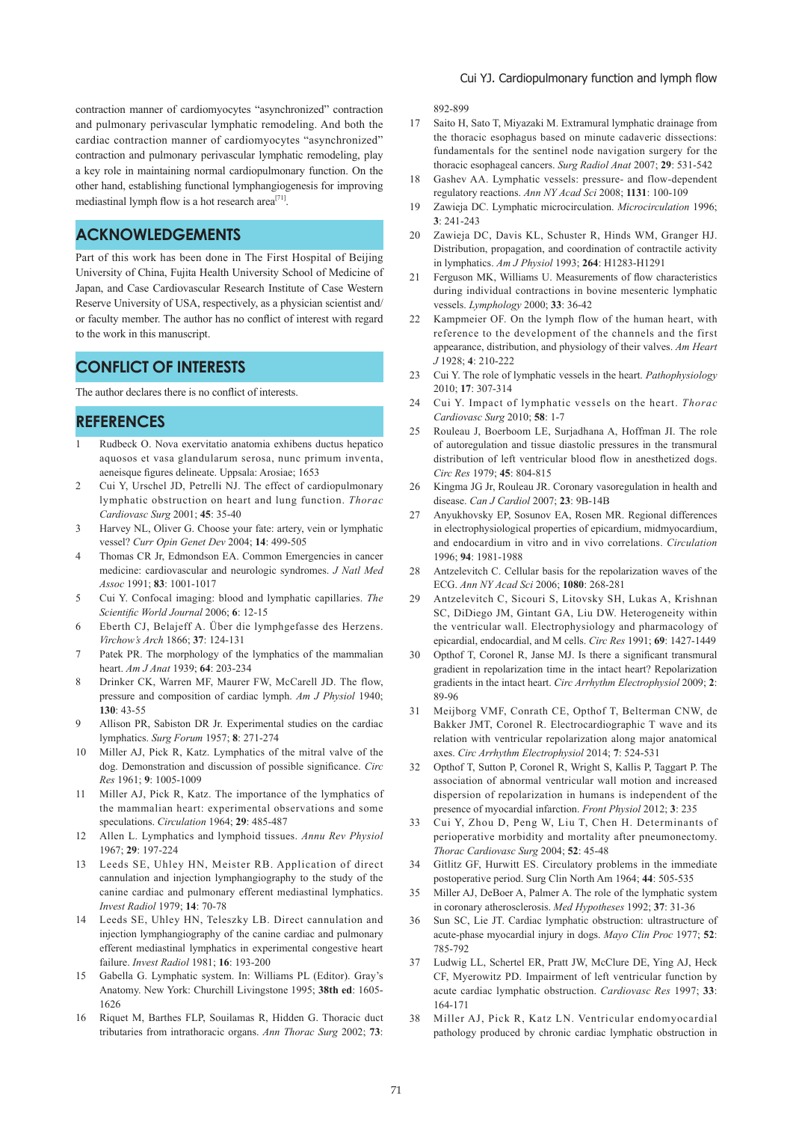contraction manner of cardiomyocytes "asynchronized" contraction and pulmonary perivascular lymphatic remodeling. And both the cardiac contraction manner of cardiomyocytes "asynchronized" contraction and pulmonary perivascular lymphatic remodeling, play a key role in maintaining normal cardiopulmonary function. On the other hand, establishing functional lymphangiogenesis for improving mediastinal lymph flow is a hot research area<sup>[71]</sup>.

### **ACKNOWLEDGEMENTS**

Part of this work has been done in The First Hospital of Beijing University of China, Fujita Health University School of Medicine of Japan, and Case Cardiovascular Research Institute of Case Western Reserve University of USA, respectively, as a physician scientist and/ or faculty member. The author has no conflict of interest with regard to the work in this manuscript.

### **CONFLICT OF INTERESTS**

The author declares there is no conflict of interests.

#### **REFERENCES**

- 1 Rudbeck O. Nova exervitatio anatomia exhibens ductus hepatico aquosos et vasa glandularum serosa, nunc primum inventa, aeneisque figures delineate. Uppsala: Arosiae; 1653
- 2 Cui Y, Urschel JD, Petrelli NJ. The effect of cardiopulmonary lymphatic obstruction on heart and lung function. *Thorac Cardiovasc Surg* 2001; **45**: 35-40
- 3 Harvey NL, Oliver G. Choose your fate: artery, vein or lymphatic vessel? *Curr Opin Genet Dev* 2004; **14**: 499-505
- 4 Thomas CR Jr, Edmondson EA. Common Emergencies in cancer medicine: cardiovascular and neurologic syndromes. *J Natl Med Assoc* 1991; **83**: 1001-1017
- 5 Cui Y. Confocal imaging: blood and lymphatic capillaries. *The Scientific World Journal* 2006; **6**: 12-15
- 6 Eberth CJ, Belajeff A. Über die lymphgefasse des Herzens. *Virchow's Arch* 1866; **37**: 124-131
- 7 Patek PR. The morphology of the lymphatics of the mammalian heart. *Am J Anat* 1939; **64**: 203-234
- 8 Drinker CK, Warren MF, Maurer FW, McCarell JD, The flow, pressure and composition of cardiac lymph. *Am J Physiol* 1940; **130**: 43-55
- 9 Allison PR, Sabiston DR Jr. Experimental studies on the cardiac lymphatics. *Surg Forum* 1957; **8**: 271-274
- Miller AJ, Pick R, Katz. Lymphatics of the mitral valve of the dog. Demonstration and discussion of possible significance. *Circ Res* 1961; **9**: 1005-1009
- 11 Miller AJ, Pick R, Katz. The importance of the lymphatics of the mammalian heart: experimental observations and some speculations. *Circulation* 1964; **29**: 485-487
- 12 Allen L. Lymphatics and lymphoid tissues. *Annu Rev Physiol*  1967; **29**: 197-224
- 13 Leeds SE, Uhley HN, Meister RB. Application of direct cannulation and injection lymphangiography to the study of the canine cardiac and pulmonary efferent mediastinal lymphatics. *Invest Radiol* 1979; **14**: 70-78
- 14 Leeds SE, Uhley HN, Teleszky LB. Direct cannulation and injection lymphangiography of the canine cardiac and pulmonary efferent mediastinal lymphatics in experimental congestive heart failure. *Invest Radiol* 1981; **16**: 193-200
- 15 Gabella G. Lymphatic system. In: Williams PL (Editor). Gray's Anatomy. New York: Churchill Livingstone 1995; **38th ed**: 1605- 1626
- 16 Riquet M, Barthes FLP, Souilamas R, Hidden G. Thoracic duct tributaries from intrathoracic organs. *Ann Thorac Surg* 2002; **73**:

892-899

- 17 Saito H, Sato T, Miyazaki M. Extramural lymphatic drainage from the thoracic esophagus based on minute cadaveric dissections: fundamentals for the sentinel node navigation surgery for the thoracic esophageal cancers. *Surg Radiol Anat* 2007; **29**: 531-542
- 18 Gashev AA. Lymphatic vessels: pressure- and flow-dependent regulatory reactions. *Ann NY Acad Sci* 2008; **1131**: 100-109
- 19 Zawieja DC. Lymphatic microcirculation. *Microcirculation* 1996; **3**: 241-243
- 20 Zawieja DC, Davis KL, Schuster R, Hinds WM, Granger HJ. Distribution, propagation, and coordination of contractile activity in lymphatics. *Am J Physiol* 1993; **264**: H1283-H1291
- 21 Ferguson MK, Williams U. Measurements of flow characteristics during individual contractions in bovine mesenteric lymphatic vessels. *Lymphology* 2000; **33**: 36-42
- 22 Kampmeier OF. On the lymph flow of the human heart, with reference to the development of the channels and the first appearance, distribution, and physiology of their valves. *Am Heart J* 1928; **4**: 210-222
- 23 Cui Y. The role of lymphatic vessels in the heart. *Pathophysiology* 2010; **17**: 307-314
- 24 Cui Y. Impact of lymphatic vessels on the heart. *Thorac Cardiovasc Surg* 2010; **58**: 1-7
- 25 Rouleau J, Boerboom LE, Surjadhana A, Hoffman JI. The role of autoregulation and tissue diastolic pressures in the transmural distribution of left ventricular blood flow in anesthetized dogs. *Circ Res* 1979; **45**: 804-815
- 26 Kingma JG Jr, Rouleau JR. Coronary vasoregulation in health and disease. *Can J Cardiol* 2007; **23**: 9B-14B
- 27 Anyukhovsky EP, Sosunov EA, Rosen MR. Regional differences in electrophysiological properties of epicardium, midmyocardium, and endocardium in vitro and in vivo correlations. *Circulation* 1996; **94**: 1981-1988
- 28 Antzelevitch C. Cellular basis for the repolarization waves of the ECG. *Ann NY Acad Sci* 2006; **1080**: 268-281
- 29 Antzelevitch C, Sicouri S, Litovsky SH, Lukas A, Krishnan SC, DiDiego JM, Gintant GA, Liu DW. Heterogeneity within the ventricular wall. Electrophysiology and pharmacology of epicardial, endocardial, and M cells. *Circ Res* 1991; **69**: 1427-1449
- 30 Opthof T, Coronel R, Janse MJ. Is there a significant transmural gradient in repolarization time in the intact heart? Repolarization gradients in the intact heart. *Circ Arrhythm Electrophysiol* 2009; **2**: 89-96
- 31 Meijborg VMF, Conrath CE, Opthof T, Belterman CNW, de Bakker JMT, Coronel R. Electrocardiographic T wave and its relation with ventricular repolarization along major anatomical axes. *Circ Arrhythm Electrophysiol* 2014; **7**: 524-531
- 32 Opthof T, Sutton P, Coronel R, Wright S, Kallis P, Taggart P. The association of abnormal ventricular wall motion and increased dispersion of repolarization in humans is independent of the presence of myocardial infarction. *Front Physiol* 2012; **3**: 235
- 33 Cui Y, Zhou D, Peng W, Liu T, Chen H. Determinants of perioperative morbidity and mortality after pneumonectomy. *Thorac Cardiovasc Surg* 2004; **52**: 45-48
- 34 Gitlitz GF, Hurwitt ES. Circulatory problems in the immediate postoperative period. Surg Clin North Am 1964; **44**: 505-535
- 35 Miller AJ, DeBoer A, Palmer A. The role of the lymphatic system in coronary atherosclerosis. *Med Hypotheses* 1992; **37**: 31-36
- 36 Sun SC, Lie JT. Cardiac lymphatic obstruction: ultrastructure of acute-phase myocardial injury in dogs. *Mayo Clin Proc* 1977; **52**: 785-792
- 37 Ludwig LL, Schertel ER, Pratt JW, McClure DE, Ying AJ, Heck CF, Myerowitz PD. Impairment of left ventricular function by acute cardiac lymphatic obstruction. *Cardiovasc Res* 1997; **33**: 164-171
- 38 Miller AJ, Pick R, Katz LN. Ventricular endomyocardial pathology produced by chronic cardiac lymphatic obstruction in